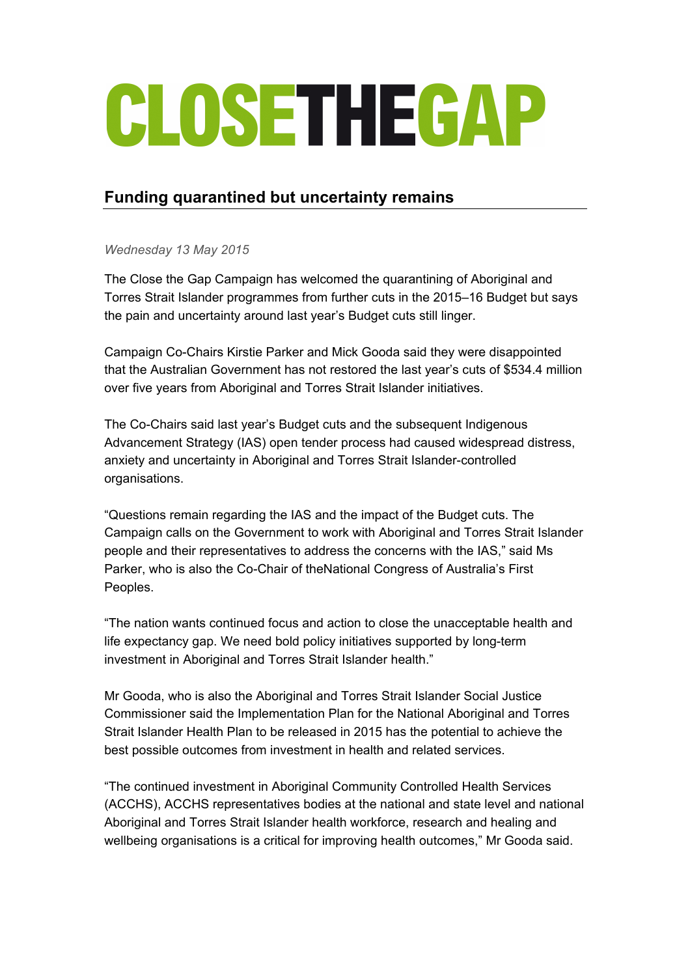## CLOSETHEGAP

## **Funding quarantined but uncertainty remains**

*Wednesday 13 May 2015*

The Close the Gap Campaign has welcomed the quarantining of Aboriginal and Torres Strait Islander programmes from further cuts in the 2015–16 Budget but says the pain and uncertainty around last year's Budget cuts still linger.

Campaign Co-Chairs Kirstie Parker and Mick Gooda said they were disappointed that the Australian Government has not restored the last year's cuts of \$534.4 million over five years from Aboriginal and Torres Strait Islander initiatives.

The Co-Chairs said last year's Budget cuts and the subsequent Indigenous Advancement Strategy (IAS) open tender process had caused widespread distress, anxiety and uncertainty in Aboriginal and Torres Strait Islander-controlled organisations.

"Questions remain regarding the IAS and the impact of the Budget cuts. The Campaign calls on the Government to work with Aboriginal and Torres Strait Islander people and their representatives to address the concerns with the IAS," said Ms Parker, who is also the Co-Chair of theNational Congress of Australia's First Peoples.

"The nation wants continued focus and action to close the unacceptable health and life expectancy gap. We need bold policy initiatives supported by long-term investment in Aboriginal and Torres Strait Islander health."

Mr Gooda, who is also the Aboriginal and Torres Strait Islander Social Justice Commissioner said the Implementation Plan for the National Aboriginal and Torres Strait Islander Health Plan to be released in 2015 has the potential to achieve the best possible outcomes from investment in health and related services.

"The continued investment in Aboriginal Community Controlled Health Services (ACCHS), ACCHS representatives bodies at the national and state level and national Aboriginal and Torres Strait Islander health workforce, research and healing and wellbeing organisations is a critical for improving health outcomes," Mr Gooda said.